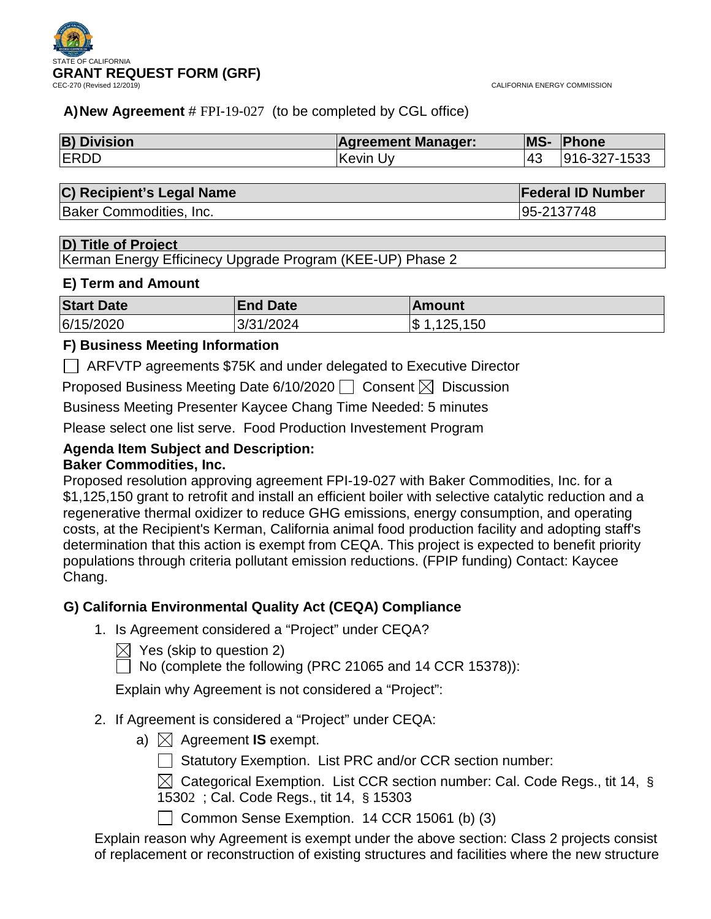# **A)New Agreement** # FPI-19-027 (to be completed by CGL office)

| <b>B) Division</b> | <b>Agreement Manager:</b> | <b>MS-</b> | <b>Phone</b> |
|--------------------|---------------------------|------------|--------------|
| <b>ERDD</b>        | ∣Kevin Uv                 | 143        | 916-327-1533 |

### **C) Recipient's Legal Name Federal ID Number**

Baker Commodities, Inc. 95-2137748

### **D) Title of Project**

Kerman Energy Efficinecy Upgrade Program (KEE-UP) Phase 2

# **E) Term and Amount**

| <b>Start Date</b> | <b>End Date</b> | <b>Amount</b>   |
|-------------------|-----------------|-----------------|
| 6/15/2020         | 3/31/2024       | $\$\,1,125,150$ |

# **F) Business Meeting Information**

ARFVTP agreements \$75K and under delegated to Executive Director

Proposed Business Meeting Date 6/10/2020  $\Box$  Consent  $\boxtimes$  Discussion

Business Meeting Presenter Kaycee Chang Time Needed: 5 minutes

Please select one list serve. Food Production Investement Program

# **Agenda Item Subject and Description:**

# **Baker Commodities, Inc.**

Proposed resolution approving agreement FPI-19-027 with Baker Commodities, Inc. for a \$1,125,150 grant to retrofit and install an efficient boiler with selective catalytic reduction and a regenerative thermal oxidizer to reduce GHG emissions, energy consumption, and operating costs, at the Recipient's Kerman, California animal food production facility and adopting staff's determination that this action is exempt from CEQA. This project is expected to benefit priority populations through criteria pollutant emission reductions. (FPIP funding) Contact: Kaycee Chang.

# **G) California Environmental Quality Act (CEQA) Compliance**

1. Is Agreement considered a "Project" under CEQA?

 $\boxtimes$  Yes (skip to question 2)

 $\Box$  No (complete the following (PRC 21065 and 14 CCR 15378)):

Explain why Agreement is not considered a "Project":

- 2. If Agreement is considered a "Project" under CEQA:
	- a)  $\boxtimes$  Agreement **IS** exempt.

 $\Box$  Statutory Exemption. List PRC and/or CCR section number:

 $\boxtimes$  Categorical Exemption. List CCR section number: Cal. Code Regs., tit 14, § 15302 ; Cal. Code Regs., tit 14, § 15303

Common Sense Exemption.  $14$  CCR 15061 (b) (3)

Explain reason why Agreement is exempt under the above section: Class 2 projects consist of replacement or reconstruction of existing structures and facilities where the new structure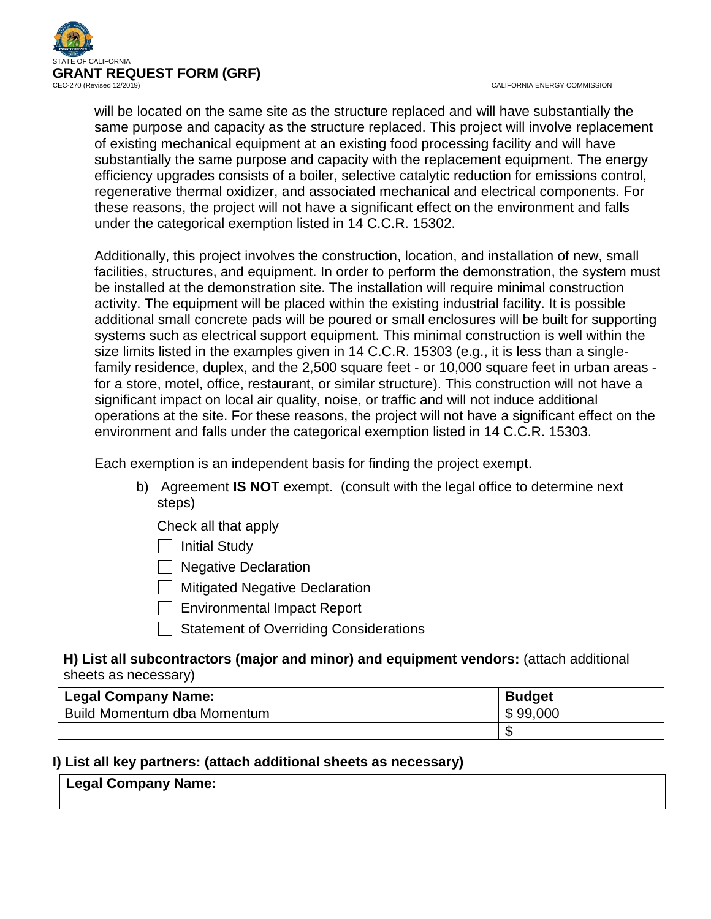

CALIFORNIA ENERGY COMMISSION

will be located on the same site as the structure replaced and will have substantially the same purpose and capacity as the structure replaced. This project will involve replacement of existing mechanical equipment at an existing food processing facility and will have substantially the same purpose and capacity with the replacement equipment. The energy efficiency upgrades consists of a boiler, selective catalytic reduction for emissions control, regenerative thermal oxidizer, and associated mechanical and electrical components. For these reasons, the project will not have a significant effect on the environment and falls under the categorical exemption listed in 14 C.C.R. 15302.

Additionally, this project involves the construction, location, and installation of new, small facilities, structures, and equipment. In order to perform the demonstration, the system must be installed at the demonstration site. The installation will require minimal construction activity. The equipment will be placed within the existing industrial facility. It is possible additional small concrete pads will be poured or small enclosures will be built for supporting systems such as electrical support equipment. This minimal construction is well within the size limits listed in the examples given in 14 C.C.R. 15303 (e.g., it is less than a singlefamily residence, duplex, and the 2,500 square feet - or 10,000 square feet in urban areas for a store, motel, office, restaurant, or similar structure). This construction will not have a significant impact on local air quality, noise, or traffic and will not induce additional operations at the site. For these reasons, the project will not have a significant effect on the environment and falls under the categorical exemption listed in 14 C.C.R. 15303.

Each exemption is an independent basis for finding the project exempt.

- b) Agreement **IS NOT** exempt. (consult with the legal office to determine next steps)
	- Check all that apply
	- $\Box$  Initial Study
	- **Negative Declaration**
	- $\Box$  Mitigated Negative Declaration
	- Environmental Impact Report
	- Statement of Overriding Considerations

# **H) List all subcontractors (major and minor) and equipment vendors:** (attach additional sheets as necessary)

| <b>Legal Company Name:</b>  | <b>Budget</b> |
|-----------------------------|---------------|
| Build Momentum dba Momentum | \$99,000      |
|                             |               |

# **I) List all key partners: (attach additional sheets as necessary)**

# **Legal Company Name:**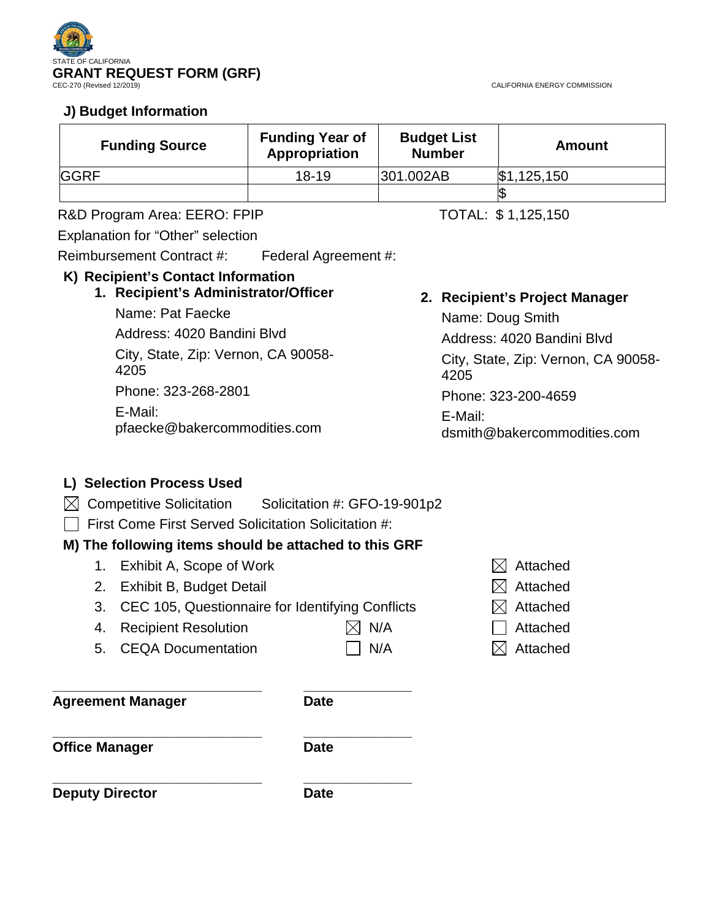

# **J) Budget Information**

| <b>Funding Source</b> | <b>Funding Year of</b><br>Appropriation | <b>Budget List</b><br><b>Number</b> | Amount      |
|-----------------------|-----------------------------------------|-------------------------------------|-------------|
| <b>GGRF</b>           | $18 - 19$                               | 301.002AB                           | \$1,125,150 |
|                       |                                         |                                     |             |

R&D Program Area: EERO: FPIP TOTAL: \$1,125,150

Explanation for "Other" selection

Reimbursement Contract #: Federal Agreement #:

# **K) Recipient's Contact Information**

**1. Recipient's Administrator/Officer**

Name: Pat Faecke Address: 4020 Bandini Blvd City, State, Zip: Vernon, CA 90058- 4205 Phone: 323-268-2801 E-Mail: pfaecke@bakercommodities.com

# **2. Recipient's Project Manager**

Name: Doug Smith Address: 4020 Bandini Blvd City, State, Zip: Vernon, CA 90058- 4205 Phone: 323-200-4659 E-Mail: dsmith@bakercommodities.com

# **L) Selection Process Used**

- $\boxtimes$  Competitive Solicitation Solicitation #: GFO-19-901p2
- $\Box$  First Come First Served Solicitation Solicitation #:

# **M) The following items should be attached to this GRF**

- 1. Exhibit A, Scope of Work  $\boxtimes$  Attached
- 2. Exhibit B, Budget Detail  $\boxtimes$  Attached
- 3. CEC 105, Questionnaire for Identifying Conflicts  $\boxtimes$  Attached
- 4. Recipient Resolution  $\boxtimes$  N/A  $\Box$  Attached
	-
- 
- 5. CEQA Documentation  $\Box$  N/A  $\Box$  Attached
- **\_\_\_\_\_\_\_\_\_\_\_\_\_\_\_\_\_\_\_\_\_\_\_\_\_\_\_ \_\_\_\_\_\_\_\_\_\_\_\_\_\_**

**Agreement Manager Date**

**\_\_\_\_\_\_\_\_\_\_\_\_\_\_\_\_\_\_\_\_\_\_\_\_\_\_\_ \_\_\_\_\_\_\_\_\_\_\_\_\_\_ Office Manager Date** 

**\_\_\_\_\_\_\_\_\_\_\_\_\_\_\_\_\_\_\_\_\_\_\_\_\_\_\_ \_\_\_\_\_\_\_\_\_\_\_\_\_\_ Deputy Director Date** 

CALIFORNIA ENERGY COMMISSION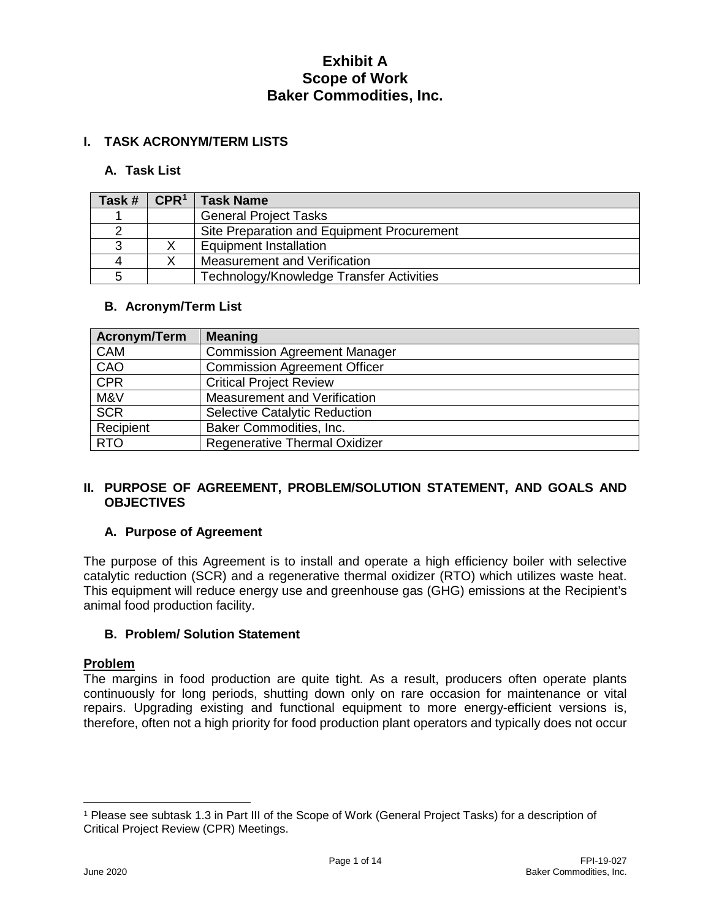# **I. TASK ACRONYM/TERM LISTS**

### **A. Task List**

| Task # | CPR <sup>1</sup> | <b>Task Name</b>                           |
|--------|------------------|--------------------------------------------|
|        |                  | <b>General Project Tasks</b>               |
|        |                  | Site Preparation and Equipment Procurement |
|        |                  | <b>Equipment Installation</b>              |
|        |                  | Measurement and Verification               |
|        |                  | Technology/Knowledge Transfer Activities   |

### **B. Acronym/Term List**

| Acronym/Term | <b>Meaning</b>                       |
|--------------|--------------------------------------|
| <b>CAM</b>   | <b>Commission Agreement Manager</b>  |
| CAO          | <b>Commission Agreement Officer</b>  |
| <b>CPR</b>   | <b>Critical Project Review</b>       |
| M&V          | Measurement and Verification         |
| <b>SCR</b>   | <b>Selective Catalytic Reduction</b> |
| Recipient    | Baker Commodities, Inc.              |
| <b>RTO</b>   | Regenerative Thermal Oxidizer        |

### **II. PURPOSE OF AGREEMENT, PROBLEM/SOLUTION STATEMENT, AND GOALS AND OBJECTIVES**

# **A. Purpose of Agreement**

The purpose of this Agreement is to install and operate a high efficiency boiler with selective catalytic reduction (SCR) and a regenerative thermal oxidizer (RTO) which utilizes waste heat. This equipment will reduce energy use and greenhouse gas (GHG) emissions at the Recipient's animal food production facility.

### **B. Problem/ Solution Statement**

### **Problem**

The margins in food production are quite tight. As a result, producers often operate plants continuously for long periods, shutting down only on rare occasion for maintenance or vital repairs. Upgrading existing and functional equipment to more energy-efficient versions is, therefore, often not a high priority for food production plant operators and typically does not occur

 $\overline{a}$ 

<span id="page-3-0"></span><sup>1</sup> Please see subtask 1.3 in Part III of the Scope of Work (General Project Tasks) for a description of Critical Project Review (CPR) Meetings.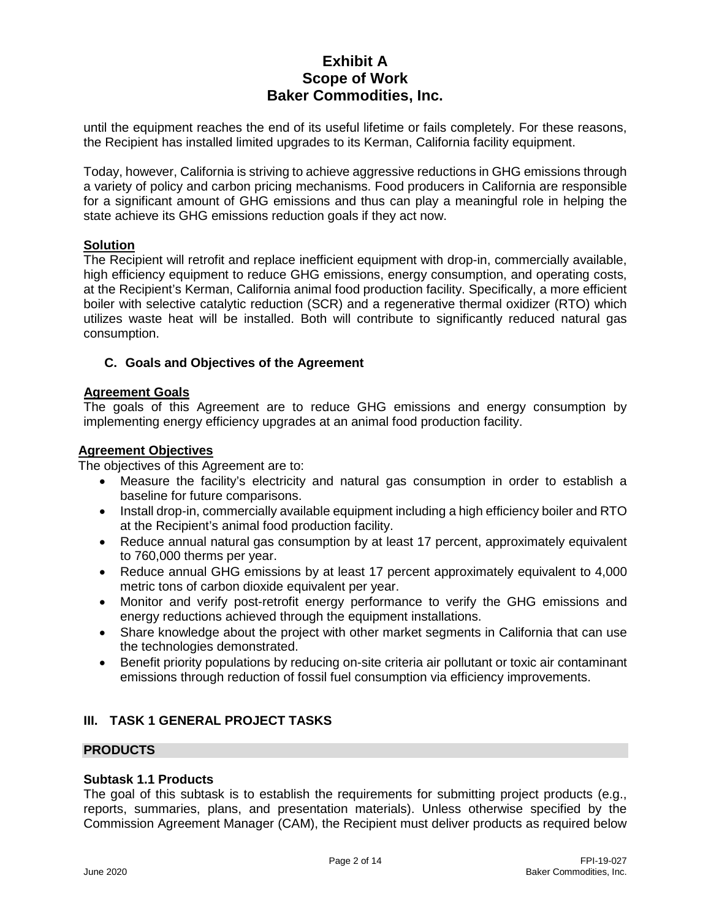until the equipment reaches the end of its useful lifetime or fails completely. For these reasons, the Recipient has installed limited upgrades to its Kerman, California facility equipment.

Today, however, California is striving to achieve aggressive reductions in GHG emissions through a variety of policy and carbon pricing mechanisms. Food producers in California are responsible for a significant amount of GHG emissions and thus can play a meaningful role in helping the state achieve its GHG emissions reduction goals if they act now.

### **Solution**

The Recipient will retrofit and replace inefficient equipment with drop-in, commercially available, high efficiency equipment to reduce GHG emissions, energy consumption, and operating costs, at the Recipient's Kerman, California animal food production facility. Specifically, a more efficient boiler with selective catalytic reduction (SCR) and a regenerative thermal oxidizer (RTO) which utilizes waste heat will be installed. Both will contribute to significantly reduced natural gas consumption.

# **C. Goals and Objectives of the Agreement**

### **Agreement Goals**

The goals of this Agreement are to reduce GHG emissions and energy consumption by implementing energy efficiency upgrades at an animal food production facility.

### **Agreement Objectives**

The objectives of this Agreement are to:

- Measure the facility's electricity and natural gas consumption in order to establish a baseline for future comparisons.
- Install drop-in, commercially available equipment including a high efficiency boiler and RTO at the Recipient's animal food production facility.
- Reduce annual natural gas consumption by at least 17 percent, approximately equivalent to 760,000 therms per year.
- Reduce annual GHG emissions by at least 17 percent approximately equivalent to 4,000 metric tons of carbon dioxide equivalent per year.
- Monitor and verify post-retrofit energy performance to verify the GHG emissions and energy reductions achieved through the equipment installations.
- Share knowledge about the project with other market segments in California that can use the technologies demonstrated.
- Benefit priority populations by reducing on-site criteria air pollutant or toxic air contaminant emissions through reduction of fossil fuel consumption via efficiency improvements.

# **III. TASK 1 GENERAL PROJECT TASKS**

# **PRODUCTS**

### **Subtask 1.1 Products**

The goal of this subtask is to establish the requirements for submitting project products (e.g., reports, summaries, plans, and presentation materials). Unless otherwise specified by the Commission Agreement Manager (CAM), the Recipient must deliver products as required below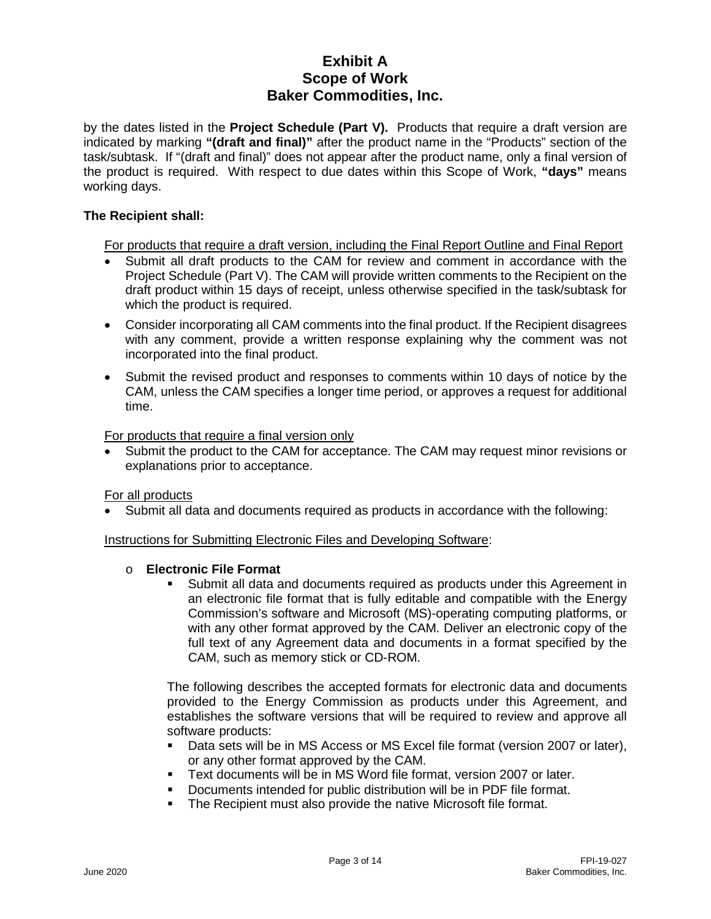by the dates listed in the **Project Schedule (Part V).** Products that require a draft version are indicated by marking **"(draft and final)"** after the product name in the "Products" section of the task/subtask. If "(draft and final)" does not appear after the product name, only a final version of the product is required. With respect to due dates within this Scope of Work, **"days"** means working days.

### **The Recipient shall:**

For products that require a draft version, including the Final Report Outline and Final Report

- Submit all draft products to the CAM for review and comment in accordance with the Project Schedule (Part V). The CAM will provide written comments to the Recipient on the draft product within 15 days of receipt, unless otherwise specified in the task/subtask for which the product is required.
- Consider incorporating all CAM comments into the final product. If the Recipient disagrees with any comment, provide a written response explaining why the comment was not incorporated into the final product.
- Submit the revised product and responses to comments within 10 days of notice by the CAM, unless the CAM specifies a longer time period, or approves a request for additional time.

For products that require a final version only

• Submit the product to the CAM for acceptance. The CAM may request minor revisions or explanations prior to acceptance.

For all products

• Submit all data and documents required as products in accordance with the following:

Instructions for Submitting Electronic Files and Developing Software:

### o **Electronic File Format**

 Submit all data and documents required as products under this Agreement in an electronic file format that is fully editable and compatible with the Energy Commission's software and Microsoft (MS)-operating computing platforms, or with any other format approved by the CAM. Deliver an electronic copy of the full text of any Agreement data and documents in a format specified by the CAM, such as memory stick or CD-ROM.

The following describes the accepted formats for electronic data and documents provided to the Energy Commission as products under this Agreement, and establishes the software versions that will be required to review and approve all software products:

- Data sets will be in MS Access or MS Excel file format (version 2007 or later), or any other format approved by the CAM.
- Text documents will be in MS Word file format, version 2007 or later.
- Documents intended for public distribution will be in PDF file format.
- **The Recipient must also provide the native Microsoft file format.**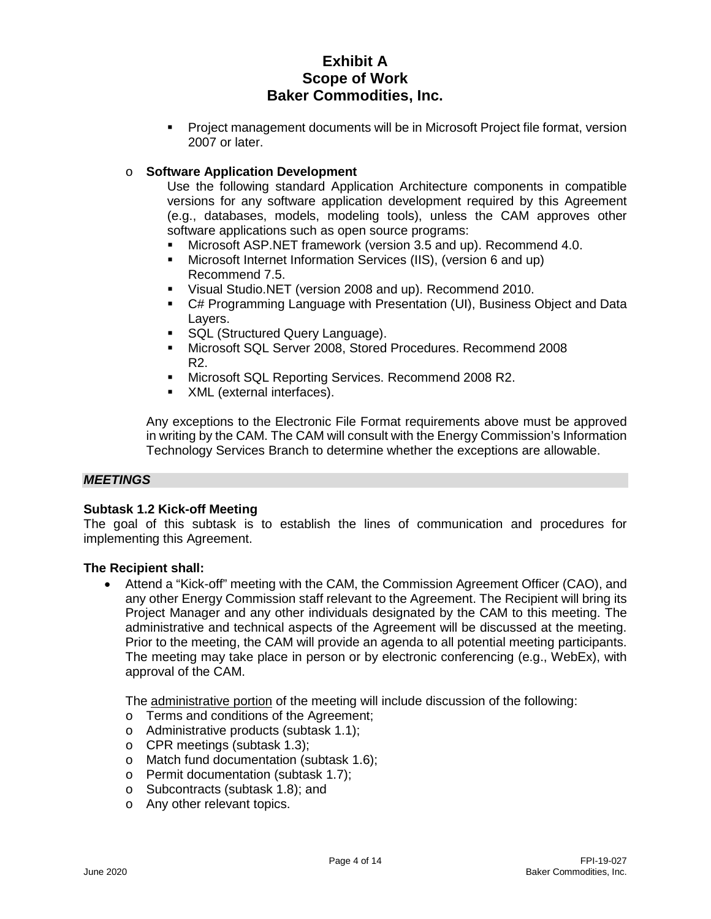Project management documents will be in Microsoft Project file format, version 2007 or later.

# o **Software Application Development**

Use the following standard Application Architecture components in compatible versions for any software application development required by this Agreement (e.g., databases, models, modeling tools), unless the CAM approves other software applications such as open source programs:

- Microsoft ASP.NET framework (version 3.5 and up). Recommend 4.0.
- Microsoft Internet Information Services (IIS), (version 6 and up) Recommend 7.5.
- Visual Studio.NET (version 2008 and up). Recommend 2010.
- C# Programming Language with Presentation (UI), Business Object and Data Layers.
- **SQL (Structured Query Language).**
- Microsoft SQL Server 2008, Stored Procedures. Recommend 2008 R2.
- **Microsoft SQL Reporting Services. Recommend 2008 R2.**
- XML (external interfaces).

Any exceptions to the Electronic File Format requirements above must be approved in writing by the CAM. The CAM will consult with the Energy Commission's Information Technology Services Branch to determine whether the exceptions are allowable.

### *MEETINGS*

# **Subtask 1.2 Kick-off Meeting**

The goal of this subtask is to establish the lines of communication and procedures for implementing this Agreement.

# **The Recipient shall:**

• Attend a "Kick-off" meeting with the CAM, the Commission Agreement Officer (CAO), and any other Energy Commission staff relevant to the Agreement. The Recipient will bring its Project Manager and any other individuals designated by the CAM to this meeting. The administrative and technical aspects of the Agreement will be discussed at the meeting. Prior to the meeting, the CAM will provide an agenda to all potential meeting participants. The meeting may take place in person or by electronic conferencing (e.g., WebEx), with approval of the CAM.

The administrative portion of the meeting will include discussion of the following:

- o Terms and conditions of the Agreement;
- o Administrative products (subtask 1.1);
- o CPR meetings (subtask 1.3);
- o Match fund documentation (subtask 1.6);
- o Permit documentation (subtask 1.7);
- o Subcontracts (subtask 1.8); and
- o Any other relevant topics.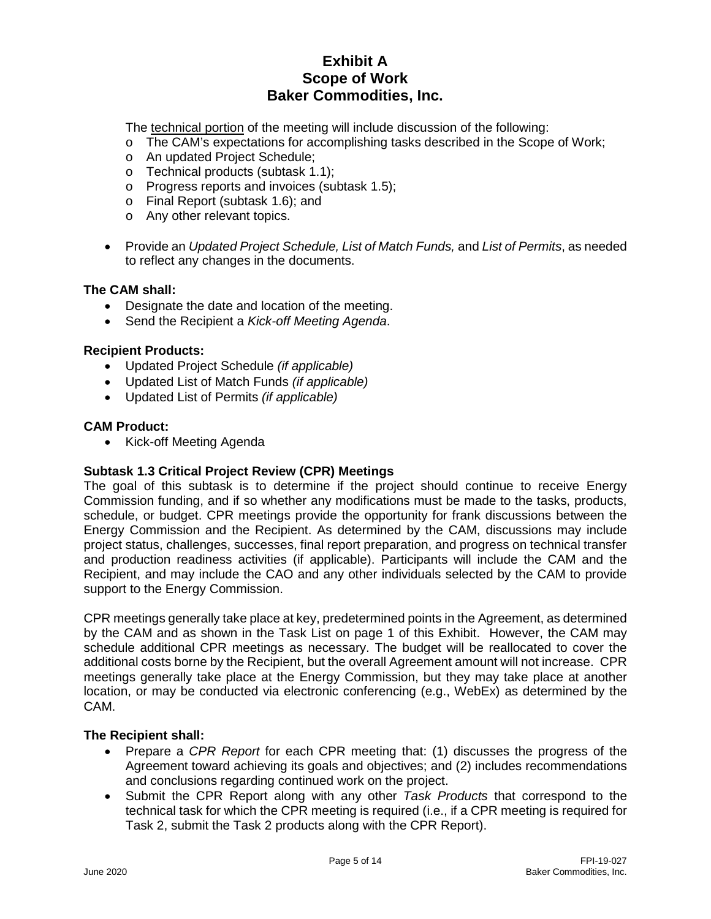The technical portion of the meeting will include discussion of the following:

- o The CAM's expectations for accomplishing tasks described in the Scope of Work;
- o An updated Project Schedule;
- o Technical products (subtask 1.1);
- o Progress reports and invoices (subtask 1.5);
- o Final Report (subtask 1.6); and
- o Any other relevant topics.
- Provide an *Updated Project Schedule, List of Match Funds,* and *List of Permits*, as needed to reflect any changes in the documents.

### **The CAM shall:**

- Designate the date and location of the meeting.
- Send the Recipient a *Kick-off Meeting Agenda*.

### **Recipient Products:**

- Updated Project Schedule *(if applicable)*
- Updated List of Match Funds *(if applicable)*
- Updated List of Permits *(if applicable)*

### **CAM Product:**

• Kick-off Meeting Agenda

### **Subtask 1.3 Critical Project Review (CPR) Meetings**

The goal of this subtask is to determine if the project should continue to receive Energy Commission funding, and if so whether any modifications must be made to the tasks, products, schedule, or budget. CPR meetings provide the opportunity for frank discussions between the Energy Commission and the Recipient. As determined by the CAM, discussions may include project status, challenges, successes, final report preparation, and progress on technical transfer and production readiness activities (if applicable). Participants will include the CAM and the Recipient, and may include the CAO and any other individuals selected by the CAM to provide support to the Energy Commission.

CPR meetings generally take place at key, predetermined points in the Agreement, as determined by the CAM and as shown in the Task List on page 1 of this Exhibit. However, the CAM may schedule additional CPR meetings as necessary. The budget will be reallocated to cover the additional costs borne by the Recipient, but the overall Agreement amount will not increase. CPR meetings generally take place at the Energy Commission, but they may take place at another location, or may be conducted via electronic conferencing (e.g., WebEx) as determined by the CAM.

- Prepare a *CPR Report* for each CPR meeting that: (1) discusses the progress of the Agreement toward achieving its goals and objectives; and (2) includes recommendations and conclusions regarding continued work on the project.
- Submit the CPR Report along with any other *Task Products* that correspond to the technical task for which the CPR meeting is required (i.e., if a CPR meeting is required for Task 2, submit the Task 2 products along with the CPR Report).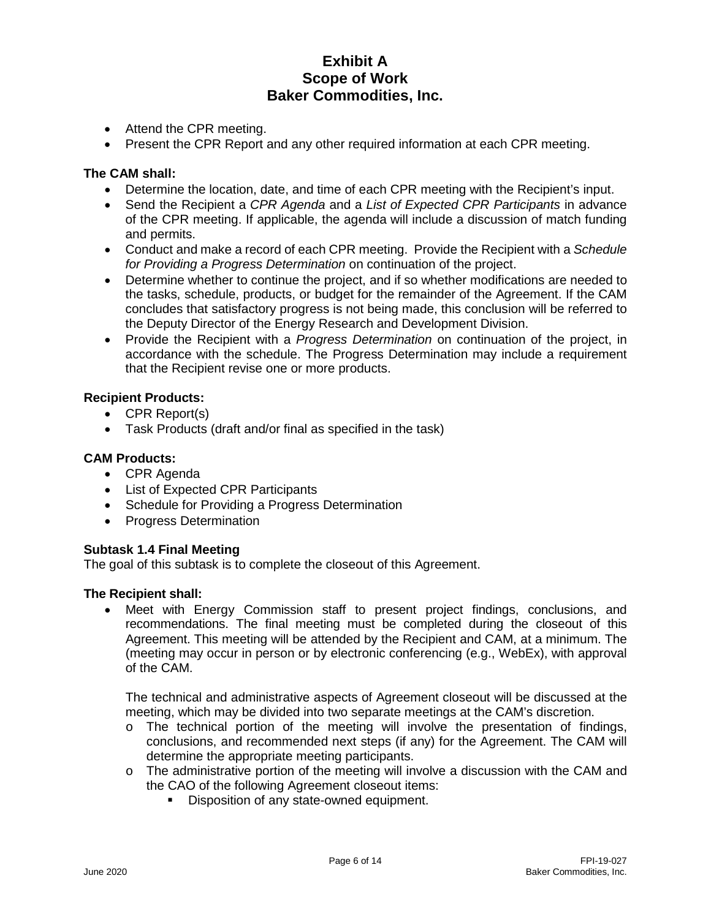- Attend the CPR meeting.
- Present the CPR Report and any other required information at each CPR meeting.

### **The CAM shall:**

- Determine the location, date, and time of each CPR meeting with the Recipient's input.
- Send the Recipient a *CPR Agenda* and a *List of Expected CPR Participants* in advance of the CPR meeting. If applicable, the agenda will include a discussion of match funding and permits.
- Conduct and make a record of each CPR meeting. Provide the Recipient with a *Schedule for Providing a Progress Determination* on continuation of the project.
- Determine whether to continue the project, and if so whether modifications are needed to the tasks, schedule, products, or budget for the remainder of the Agreement. If the CAM concludes that satisfactory progress is not being made, this conclusion will be referred to the Deputy Director of the Energy Research and Development Division.
- Provide the Recipient with a *Progress Determination* on continuation of the project, in accordance with the schedule. The Progress Determination may include a requirement that the Recipient revise one or more products.

# **Recipient Products:**

- CPR Report(s)
- Task Products (draft and/or final as specified in the task)

### **CAM Products:**

- CPR Agenda
- List of Expected CPR Participants
- Schedule for Providing a Progress Determination
- Progress Determination

# **Subtask 1.4 Final Meeting**

The goal of this subtask is to complete the closeout of this Agreement.

### **The Recipient shall:**

• Meet with Energy Commission staff to present project findings, conclusions, and recommendations. The final meeting must be completed during the closeout of this Agreement. This meeting will be attended by the Recipient and CAM, at a minimum. The (meeting may occur in person or by electronic conferencing (e.g., WebEx), with approval of the CAM.

The technical and administrative aspects of Agreement closeout will be discussed at the meeting, which may be divided into two separate meetings at the CAM's discretion.

- o The technical portion of the meeting will involve the presentation of findings, conclusions, and recommended next steps (if any) for the Agreement. The CAM will determine the appropriate meeting participants.
- $\circ$  The administrative portion of the meeting will involve a discussion with the CAM and the CAO of the following Agreement closeout items:
	- Disposition of any state-owned equipment.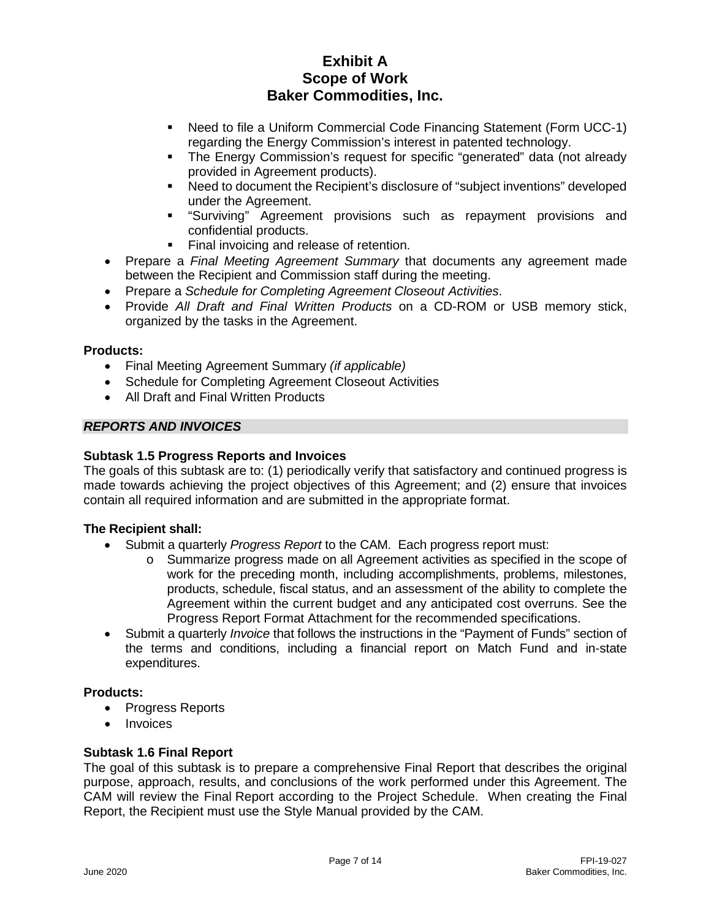- Need to file a Uniform Commercial Code Financing Statement (Form UCC-1) regarding the Energy Commission's interest in patented technology.
- The Energy Commission's request for specific "generated" data (not already provided in Agreement products).
- Need to document the Recipient's disclosure of "subject inventions" developed under the Agreement.
- "Surviving" Agreement provisions such as repayment provisions and confidential products.
- Final invoicing and release of retention.
- Prepare a *Final Meeting Agreement Summary* that documents any agreement made between the Recipient and Commission staff during the meeting.
- Prepare a *Schedule for Completing Agreement Closeout Activities*.
- Provide *All Draft and Final Written Products* on a CD-ROM or USB memory stick, organized by the tasks in the Agreement.

### **Products:**

- Final Meeting Agreement Summary *(if applicable)*
- Schedule for Completing Agreement Closeout Activities
- All Draft and Final Written Products

# *REPORTS AND INVOICES*

### **Subtask 1.5 Progress Reports and Invoices**

The goals of this subtask are to: (1) periodically verify that satisfactory and continued progress is made towards achieving the project objectives of this Agreement; and (2) ensure that invoices contain all required information and are submitted in the appropriate format.

# **The Recipient shall:**

- Submit a quarterly *Progress Report* to the CAM. Each progress report must:
	- o Summarize progress made on all Agreement activities as specified in the scope of work for the preceding month, including accomplishments, problems, milestones, products, schedule, fiscal status, and an assessment of the ability to complete the Agreement within the current budget and any anticipated cost overruns. See the Progress Report Format Attachment for the recommended specifications.
- Submit a quarterly *Invoice* that follows the instructions in the "Payment of Funds" section of the terms and conditions, including a financial report on Match Fund and in-state expenditures.

### **Products:**

- Progress Reports
- Invoices

# **Subtask 1.6 Final Report**

The goal of this subtask is to prepare a comprehensive Final Report that describes the original purpose, approach, results, and conclusions of the work performed under this Agreement. The CAM will review the Final Report according to the Project Schedule. When creating the Final Report, the Recipient must use the Style Manual provided by the CAM.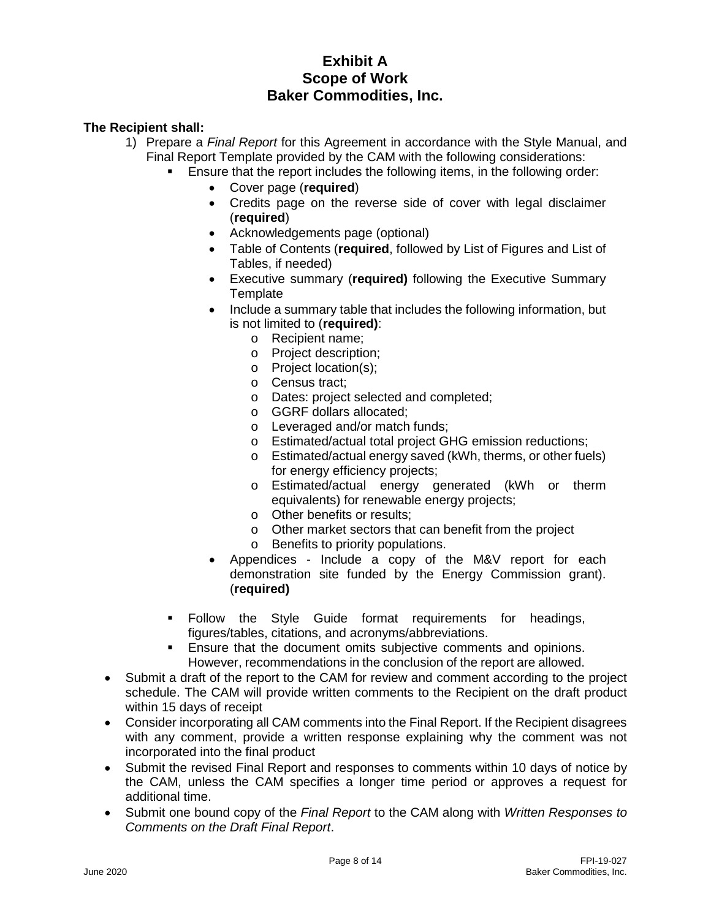- 1) Prepare a *Final Report* for this Agreement in accordance with the Style Manual, and Final Report Template provided by the CAM with the following considerations:
	- Ensure that the report includes the following items, in the following order:
		- Cover page (**required**)
		- Credits page on the reverse side of cover with legal disclaimer (**required**)
		- Acknowledgements page (optional)
		- Table of Contents (**required**, followed by List of Figures and List of Tables, if needed)
		- Executive summary (**required)** following the Executive Summary **Template**
		- Include a summary table that includes the following information, but is not limited to (**required)**:
			- o Recipient name;
			- o Project description;
			- o Project location(s);
			- o Census tract;
			- o Dates: project selected and completed;
			- o GGRF dollars allocated;
			- o Leveraged and/or match funds;
			- o Estimated/actual total project GHG emission reductions;
			- o Estimated/actual energy saved (kWh, therms, or other fuels) for energy efficiency projects;
			- o Estimated/actual energy generated (kWh or therm equivalents) for renewable energy projects;
			- o Other benefits or results;
			- o Other market sectors that can benefit from the project
			- o Benefits to priority populations.
		- Appendices Include a copy of the M&V report for each demonstration site funded by the Energy Commission grant). (**required)**
	- Follow the Style Guide format requirements for headings, figures/tables, citations, and acronyms/abbreviations.
	- **Ensure that the document omits subjective comments and opinions.** However, recommendations in the conclusion of the report are allowed.
- Submit a draft of the report to the CAM for review and comment according to the project schedule. The CAM will provide written comments to the Recipient on the draft product within 15 days of receipt
- Consider incorporating all CAM comments into the Final Report. If the Recipient disagrees with any comment, provide a written response explaining why the comment was not incorporated into the final product
- Submit the revised Final Report and responses to comments within 10 days of notice by the CAM, unless the CAM specifies a longer time period or approves a request for additional time.
- Submit one bound copy of the *Final Report* to the CAM along with *Written Responses to Comments on the Draft Final Report*.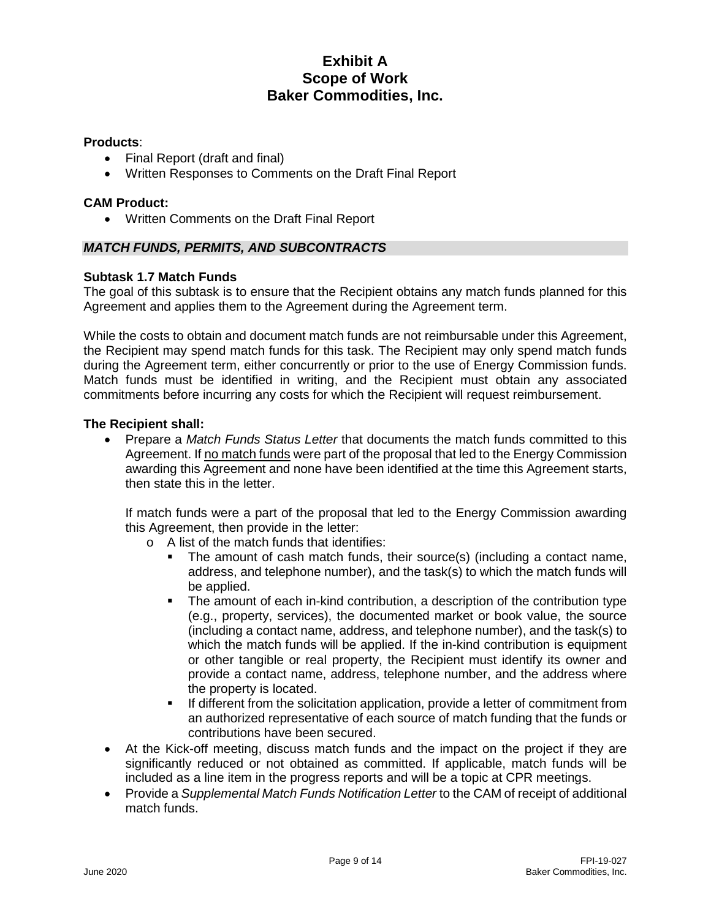### **Products**:

- Final Report (draft and final)
- Written Responses to Comments on the Draft Final Report

### **CAM Product:**

• Written Comments on the Draft Final Report

### *MATCH FUNDS, PERMITS, AND SUBCONTRACTS*

### **Subtask 1.7 Match Funds**

The goal of this subtask is to ensure that the Recipient obtains any match funds planned for this Agreement and applies them to the Agreement during the Agreement term.

While the costs to obtain and document match funds are not reimbursable under this Agreement, the Recipient may spend match funds for this task. The Recipient may only spend match funds during the Agreement term, either concurrently or prior to the use of Energy Commission funds. Match funds must be identified in writing, and the Recipient must obtain any associated commitments before incurring any costs for which the Recipient will request reimbursement.

### **The Recipient shall:**

• Prepare a *Match Funds Status Letter* that documents the match funds committed to this Agreement. If no match funds were part of the proposal that led to the Energy Commission awarding this Agreement and none have been identified at the time this Agreement starts, then state this in the letter.

If match funds were a part of the proposal that led to the Energy Commission awarding this Agreement, then provide in the letter:

- o A list of the match funds that identifies:
	- The amount of cash match funds, their source(s) (including a contact name, address, and telephone number), and the task(s) to which the match funds will be applied.
	- The amount of each in-kind contribution, a description of the contribution type (e.g., property, services), the documented market or book value, the source (including a contact name, address, and telephone number), and the task(s) to which the match funds will be applied. If the in-kind contribution is equipment or other tangible or real property, the Recipient must identify its owner and provide a contact name, address, telephone number, and the address where the property is located.
	- If different from the solicitation application, provide a letter of commitment from an authorized representative of each source of match funding that the funds or contributions have been secured.
- At the Kick-off meeting, discuss match funds and the impact on the project if they are significantly reduced or not obtained as committed. If applicable, match funds will be included as a line item in the progress reports and will be a topic at CPR meetings.
- Provide a *Supplemental Match Funds Notification Letter* to the CAM of receipt of additional match funds.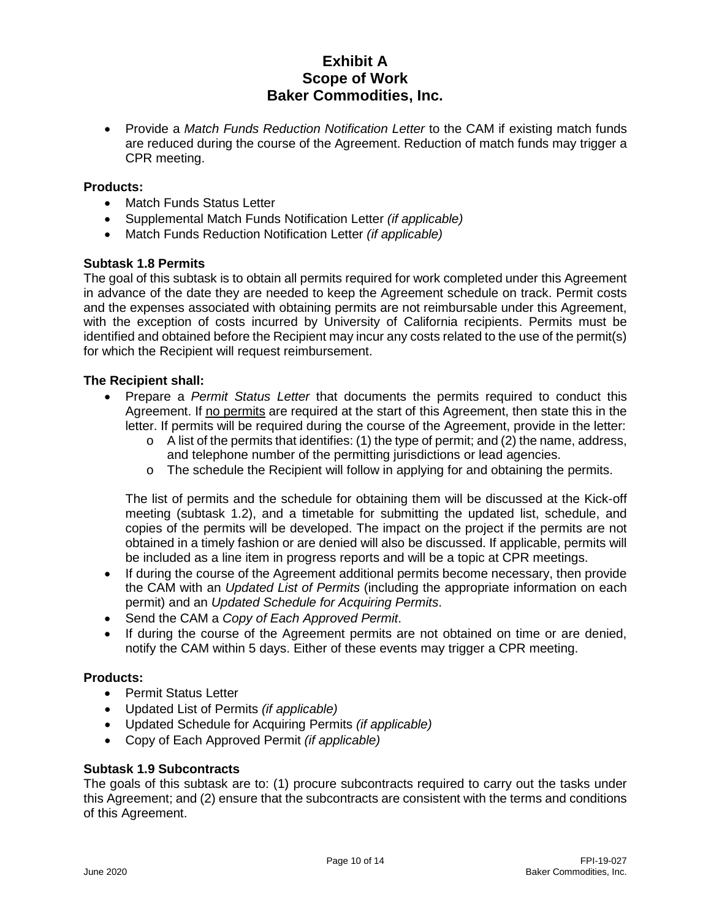• Provide a *Match Funds Reduction Notification Letter* to the CAM if existing match funds are reduced during the course of the Agreement. Reduction of match funds may trigger a CPR meeting.

### **Products:**

- Match Funds Status Letter
- Supplemental Match Funds Notification Letter *(if applicable)*
- Match Funds Reduction Notification Letter *(if applicable)*

### **Subtask 1.8 Permits**

The goal of this subtask is to obtain all permits required for work completed under this Agreement in advance of the date they are needed to keep the Agreement schedule on track. Permit costs and the expenses associated with obtaining permits are not reimbursable under this Agreement, with the exception of costs incurred by University of California recipients. Permits must be identified and obtained before the Recipient may incur any costs related to the use of the permit(s) for which the Recipient will request reimbursement.

### **The Recipient shall:**

- Prepare a *Permit Status Letter* that documents the permits required to conduct this Agreement. If no permits are required at the start of this Agreement, then state this in the letter. If permits will be required during the course of the Agreement, provide in the letter:
	- $\circ$  A list of the permits that identifies: (1) the type of permit; and (2) the name, address, and telephone number of the permitting jurisdictions or lead agencies.
	- $\circ$  The schedule the Recipient will follow in applying for and obtaining the permits.

The list of permits and the schedule for obtaining them will be discussed at the Kick-off meeting (subtask 1.2), and a timetable for submitting the updated list, schedule, and copies of the permits will be developed. The impact on the project if the permits are not obtained in a timely fashion or are denied will also be discussed. If applicable, permits will be included as a line item in progress reports and will be a topic at CPR meetings.

- If during the course of the Agreement additional permits become necessary, then provide the CAM with an *Updated List of Permits* (including the appropriate information on each permit) and an *Updated Schedule for Acquiring Permits*.
- Send the CAM a *Copy of Each Approved Permit*.
- If during the course of the Agreement permits are not obtained on time or are denied. notify the CAM within 5 days. Either of these events may trigger a CPR meeting.

### **Products:**

- Permit Status Letter
- Updated List of Permits *(if applicable)*
- Updated Schedule for Acquiring Permits *(if applicable)*
- Copy of Each Approved Permit *(if applicable)*

### **Subtask 1.9 Subcontracts**

The goals of this subtask are to: (1) procure subcontracts required to carry out the tasks under this Agreement; and (2) ensure that the subcontracts are consistent with the terms and conditions of this Agreement.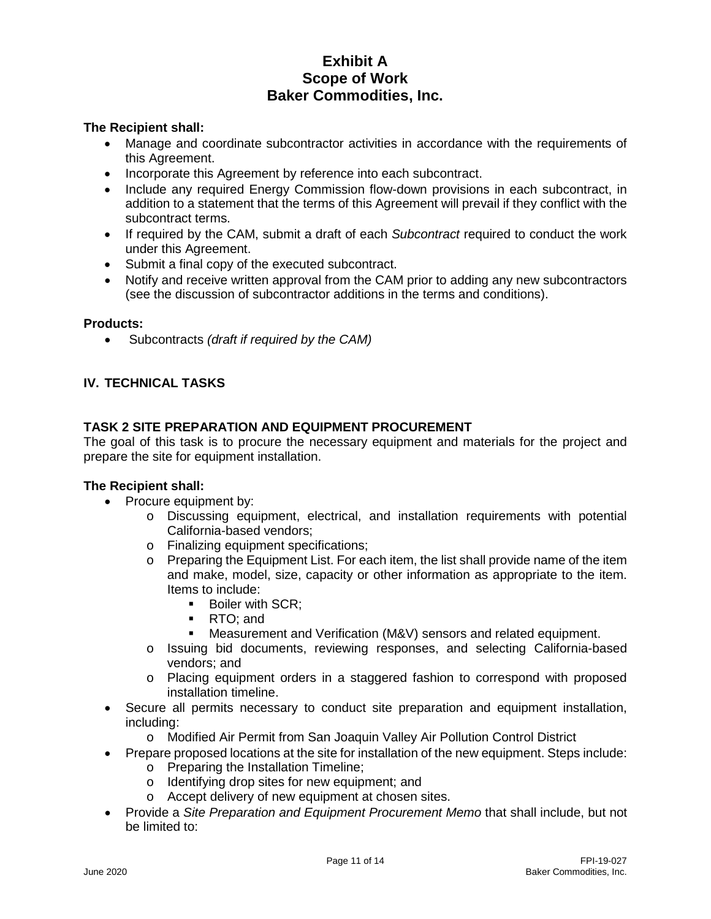# **The Recipient shall:**

- Manage and coordinate subcontractor activities in accordance with the requirements of this Agreement.
- Incorporate this Agreement by reference into each subcontract.
- Include any required Energy Commission flow-down provisions in each subcontract, in addition to a statement that the terms of this Agreement will prevail if they conflict with the subcontract terms.
- If required by the CAM, submit a draft of each *Subcontract* required to conduct the work under this Agreement.
- Submit a final copy of the executed subcontract.
- Notify and receive written approval from the CAM prior to adding any new subcontractors (see the discussion of subcontractor additions in the terms and conditions).

### **Products:**

• Subcontracts *(draft if required by the CAM)*

# **IV. TECHNICAL TASKS**

# **TASK 2 SITE PREPARATION AND EQUIPMENT PROCUREMENT**

The goal of this task is to procure the necessary equipment and materials for the project and prepare the site for equipment installation.

- Procure equipment by:
	- o Discussing equipment, electrical, and installation requirements with potential California-based vendors;
	- o Finalizing equipment specifications;
	- $\circ$  Preparing the Equipment List. For each item, the list shall provide name of the item and make, model, size, capacity or other information as appropriate to the item. Items to include:
		- Boiler with SCR;
		- RTO: and
		- Measurement and Verification (M&V) sensors and related equipment.
	- o Issuing bid documents, reviewing responses, and selecting California-based vendors; and
	- o Placing equipment orders in a staggered fashion to correspond with proposed installation timeline.
- Secure all permits necessary to conduct site preparation and equipment installation, including:
	- o Modified Air Permit from San Joaquin Valley Air Pollution Control District
- Prepare proposed locations at the site for installation of the new equipment. Steps include:
	- o Preparing the Installation Timeline;
	- o Identifying drop sites for new equipment; and
	- o Accept delivery of new equipment at chosen sites.
- Provide a *Site Preparation and Equipment Procurement Memo* that shall include, but not be limited to: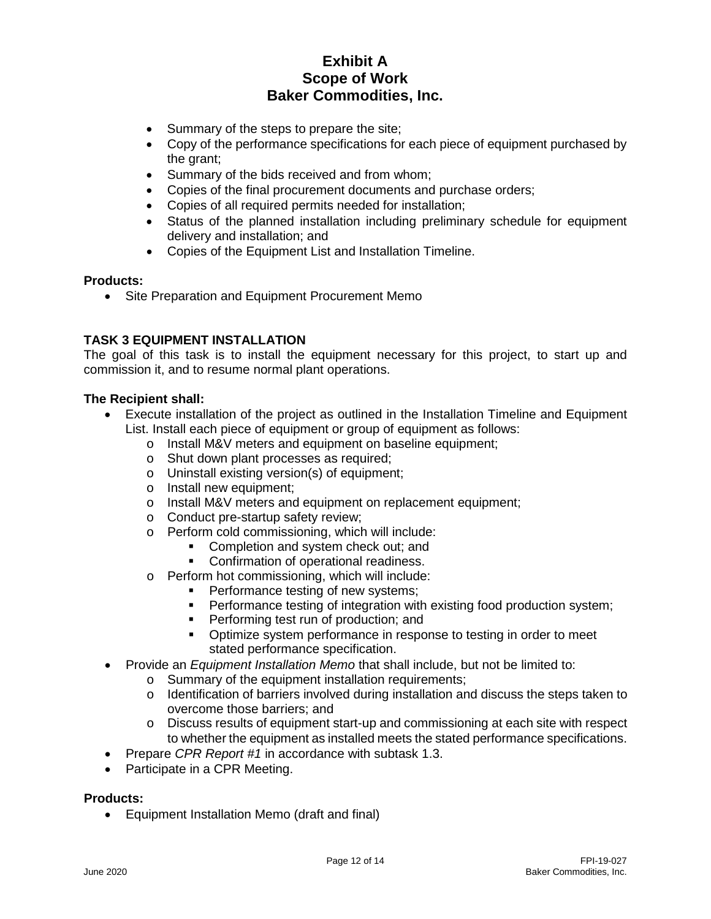- Summary of the steps to prepare the site;
- Copy of the performance specifications for each piece of equipment purchased by the grant;
- Summary of the bids received and from whom;
- Copies of the final procurement documents and purchase orders;
- Copies of all required permits needed for installation;
- Status of the planned installation including preliminary schedule for equipment delivery and installation; and
- Copies of the Equipment List and Installation Timeline.

### **Products:**

• Site Preparation and Equipment Procurement Memo

# **TASK 3 EQUIPMENT INSTALLATION**

The goal of this task is to install the equipment necessary for this project, to start up and commission it, and to resume normal plant operations.

### **The Recipient shall:**

- Execute installation of the project as outlined in the Installation Timeline and Equipment List. Install each piece of equipment or group of equipment as follows:
	- o Install M&V meters and equipment on baseline equipment;<br>o Shut down plant processes as required:
	- Shut down plant processes as required;
	- o Uninstall existing version(s) of equipment;
	- o Install new equipment;
	- o Install M&V meters and equipment on replacement equipment;
	- o Conduct pre-startup safety review;
	- o Perform cold commissioning, which will include:
		- **Completion and system check out; and**
		- **Confirmation of operational readiness.**
	- o Perform hot commissioning, which will include:
		- **Performance testing of new systems;**
		- **Performance testing of integration with existing food production system;**
		- Performing test run of production; and
		- Optimize system performance in response to testing in order to meet stated performance specification.
- Provide an *Equipment Installation Memo* that shall include, but not be limited to:
	- o Summary of the equipment installation requirements;
	- $\circ$  Identification of barriers involved during installation and discuss the steps taken to overcome those barriers; and
	- o Discuss results of equipment start-up and commissioning at each site with respect to whether the equipment as installed meets the stated performance specifications.
- Prepare *CPR Report #1* in accordance with subtask 1.3.
- Participate in a CPR Meeting.

### **Products:**

• Equipment Installation Memo (draft and final)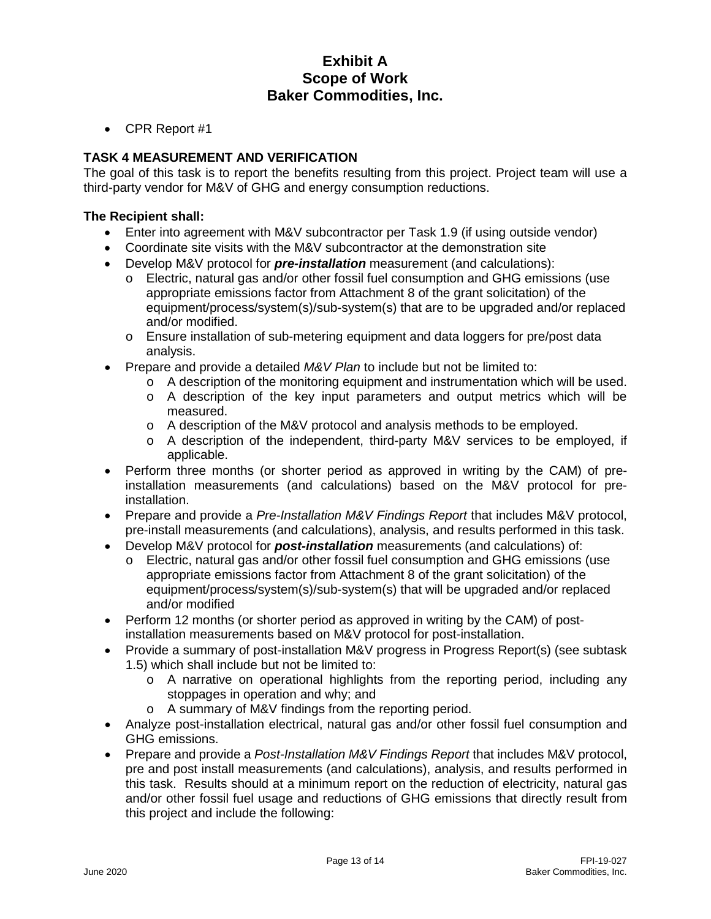• CPR Report #1

# **TASK 4 MEASUREMENT AND VERIFICATION**

The goal of this task is to report the benefits resulting from this project. Project team will use a third-party vendor for M&V of GHG and energy consumption reductions.

- Enter into agreement with M&V subcontractor per Task 1.9 (if using outside vendor)
- Coordinate site visits with the M&V subcontractor at the demonstration site
- Develop M&V protocol for *pre-installation* measurement (and calculations):
	- o Electric, natural gas and/or other fossil fuel consumption and GHG emissions (use appropriate emissions factor from Attachment 8 of the grant solicitation) of the equipment/process/system(s)/sub-system(s) that are to be upgraded and/or replaced and/or modified.
	- o Ensure installation of sub-metering equipment and data loggers for pre/post data analysis.
- Prepare and provide a detailed *M&V Plan* to include but not be limited to:
	- $\circ$  A description of the monitoring equipment and instrumentation which will be used.
	- $\circ$  A description of the key input parameters and output metrics which will be measured.
	- $\circ$  A description of the M&V protocol and analysis methods to be employed.
	- o A description of the independent, third-party M&V services to be employed, if applicable.
- Perform three months (or shorter period as approved in writing by the CAM) of preinstallation measurements (and calculations) based on the M&V protocol for preinstallation.
- Prepare and provide a *Pre-Installation M&V Findings Report* that includes M&V protocol, pre-install measurements (and calculations), analysis, and results performed in this task.
- Develop M&V protocol for *post-installation* measurements (and calculations) of:
	- o Electric, natural gas and/or other fossil fuel consumption and GHG emissions (use appropriate emissions factor from Attachment 8 of the grant solicitation) of the equipment/process/system(s)/sub-system(s) that will be upgraded and/or replaced and/or modified
- Perform 12 months (or shorter period as approved in writing by the CAM) of postinstallation measurements based on M&V protocol for post-installation.
- Provide a summary of post-installation M&V progress in Progress Report(s) (see subtask 1.5) which shall include but not be limited to:
	- o A narrative on operational highlights from the reporting period, including any stoppages in operation and why; and
	- o A summary of M&V findings from the reporting period.
- Analyze post-installation electrical, natural gas and/or other fossil fuel consumption and GHG emissions.
- Prepare and provide a *Post-Installation M&V Findings Report* that includes M&V protocol, pre and post install measurements (and calculations), analysis, and results performed in this task. Results should at a minimum report on the reduction of electricity, natural gas and/or other fossil fuel usage and reductions of GHG emissions that directly result from this project and include the following: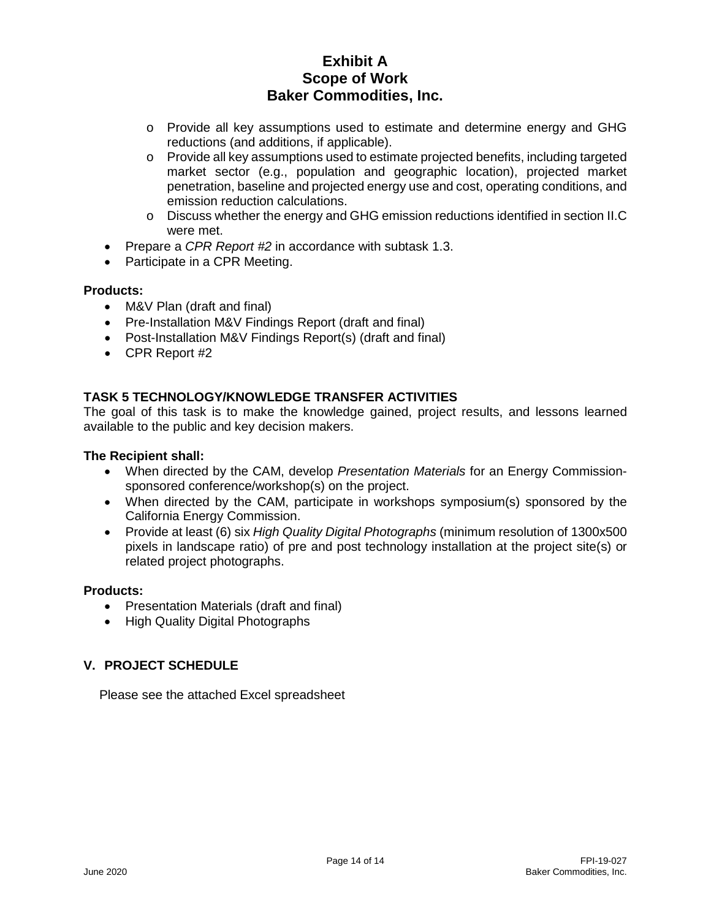- o Provide all key assumptions used to estimate and determine energy and GHG reductions (and additions, if applicable).
- o Provide all key assumptions used to estimate projected benefits, including targeted market sector (e.g., population and geographic location), projected market penetration, baseline and projected energy use and cost, operating conditions, and emission reduction calculations.
- o Discuss whether the energy and GHG emission reductions identified in section II.C were met.
- Prepare a *CPR Report #2* in accordance with subtask 1.3.
- Participate in a CPR Meeting.

# **Products:**

- M&V Plan (draft and final)
- Pre-Installation M&V Findings Report (draft and final)
- Post-Installation M&V Findings Report(s) (draft and final)
- CPR Report #2

# **TASK 5 TECHNOLOGY/KNOWLEDGE TRANSFER ACTIVITIES**

The goal of this task is to make the knowledge gained, project results, and lessons learned available to the public and key decision makers.

### **The Recipient shall:**

- When directed by the CAM, develop *Presentation Materials* for an Energy Commissionsponsored conference/workshop(s) on the project.
- When directed by the CAM, participate in workshops symposium(s) sponsored by the California Energy Commission.
- Provide at least (6) six *High Quality Digital Photographs* (minimum resolution of 1300x500 pixels in landscape ratio) of pre and post technology installation at the project site(s) or related project photographs.

### **Products:**

- Presentation Materials (draft and final)
- High Quality Digital Photographs

# **V. PROJECT SCHEDULE**

Please see the attached Excel spreadsheet